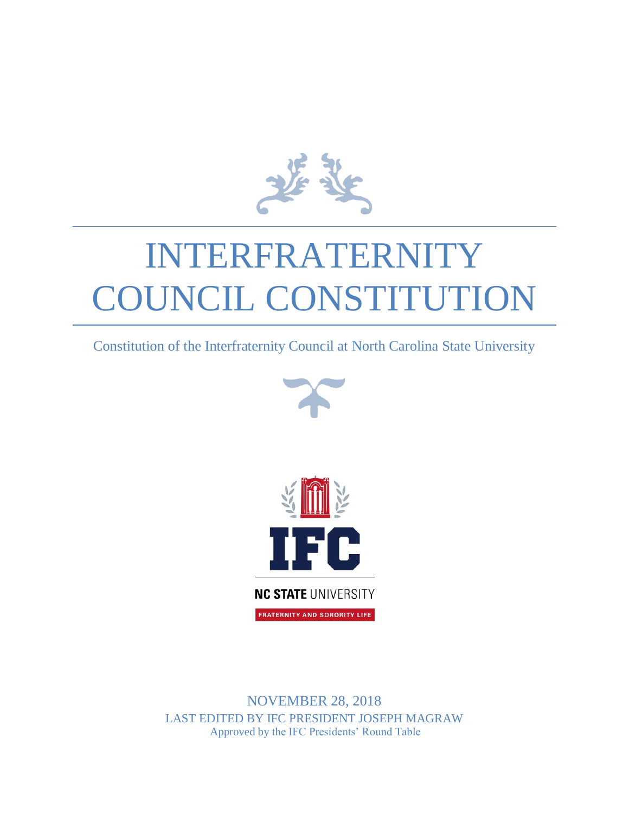

# INTERFRATERNITY COUNCIL CONSTITUTION

Constitution of the Interfraternity Council at North Carolina State University





NOVEMBER 28, 2018 LAST EDITED BY IFC PRESIDENT JOSEPH MAGRAW Approved by the IFC Presidents' Round Table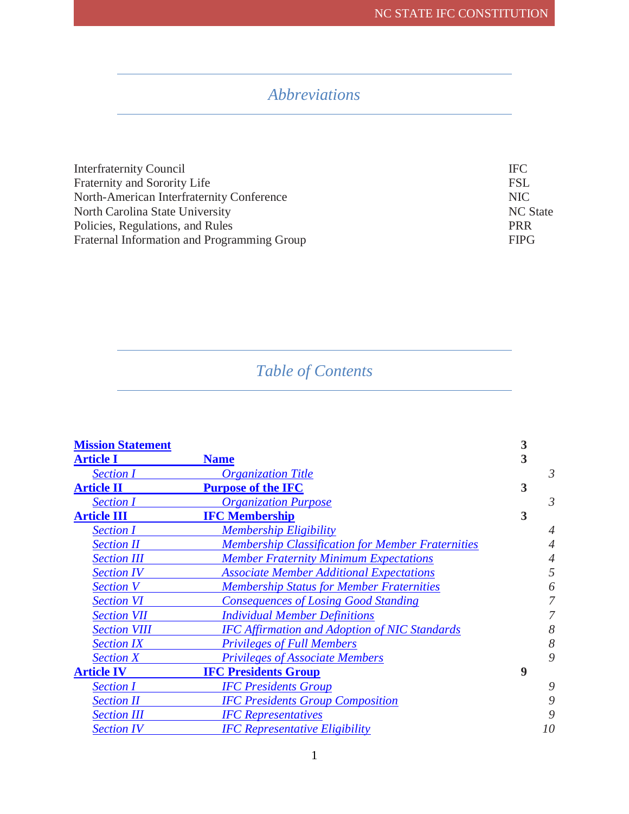# *Abbreviations*

| <b>Interfraternity Council</b>              | IFC.        |
|---------------------------------------------|-------------|
| <b>Fraternity and Sorority Life</b>         | <b>FSL</b>  |
| North-American Interfraternity Conference   | NIC.        |
| North Carolina State University             | NC State    |
| Policies, Regulations, and Rules            | <b>PRR</b>  |
| Fraternal Information and Programming Group | <b>FIPG</b> |

# *Table of Contents*

| <b>Mission Statement</b> |                                                          | 3 |                |
|--------------------------|----------------------------------------------------------|---|----------------|
| <b>Article I</b>         | <b>Name</b>                                              | 3 |                |
| <b>Section I</b>         | <i><b>Organization Title</b></i>                         |   | $\mathfrak{Z}$ |
| <b>Article II</b>        | <b>Purpose of the IFC</b>                                | 3 |                |
| <b>Section I</b>         | <b>Organization Purpose</b>                              |   | $\mathfrak{Z}$ |
| <b>Article III</b>       | <b>IFC Membership</b>                                    | 3 |                |
| <b>Section I</b>         | <b>Membership Eligibility</b>                            |   | 4              |
| <b>Section II</b>        | <b>Membership Classification for Member Fraternities</b> |   |                |
| <b>Section III</b>       | <b>Member Fraternity Minimum Expectations</b>            |   |                |
| <b>Section IV</b>        | <b>Associate Member Additional Expectations</b>          |   |                |
| <b>Section V</b>         | <b>Membership Status for Member Fraternities</b>         |   | 6              |
| <b>Section VI</b>        | <b>Consequences of Losing Good Standing</b>              |   |                |
| <b>Section VII</b>       | <b>Individual Member Definitions</b>                     |   |                |
| <b>Section VIII</b>      | <b>IFC Affirmation and Adoption of NIC Standards</b>     |   | 8              |
| <b>Section IX</b>        | <b>Privileges of Full Members</b>                        |   | 8              |
| <b>Section X</b>         | <b>Privileges of Associate Members</b>                   |   | 9              |
| <b>Article IV</b>        | <b>IFC Presidents Group</b>                              | 9 |                |
| <b>Section I</b>         | <b>IFC Presidents Group</b>                              |   | 9              |
| <b>Section II</b>        | <b>IFC Presidents Group Composition</b>                  |   | 9              |
| <b>Section III</b>       | <b>IFC</b> Representatives                               |   | 9              |
| <b>Section IV</b>        | <b>IFC Representative Eligibility</b>                    |   | 10             |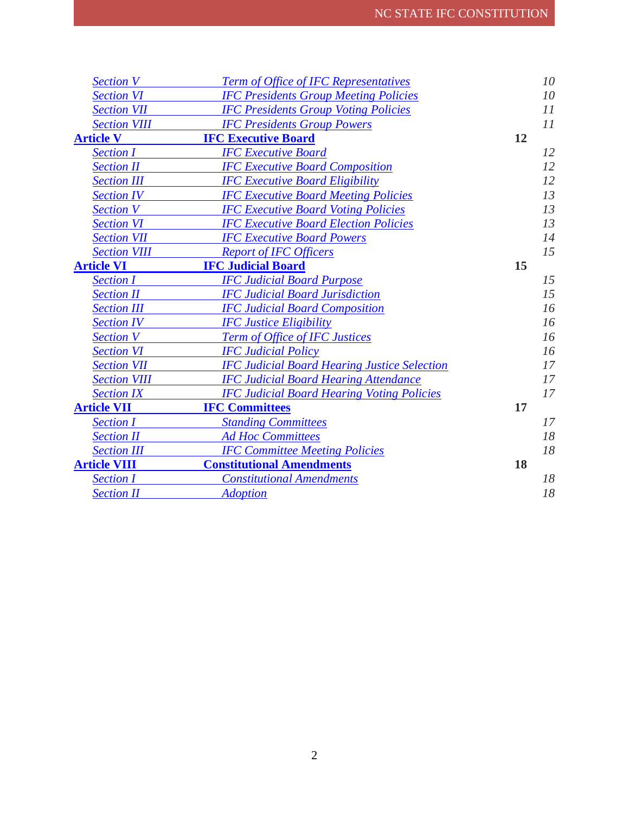| <b>Section V</b>    | <b>Term of Office of IFC Representatives</b>        |    | 10 |
|---------------------|-----------------------------------------------------|----|----|
| <b>Section VI</b>   | <b>IFC Presidents Group Meeting Policies</b>        |    | 10 |
| <b>Section VII</b>  | <b>IFC Presidents Group Voting Policies</b>         |    | 11 |
| <b>Section VIII</b> | <b>IFC Presidents Group Powers</b>                  |    | 11 |
| <b>Article V</b>    | <b>IFC Executive Board</b>                          | 12 |    |
| <b>Section I</b>    | <b>IFC Executive Board</b>                          |    | 12 |
| <b>Section II</b>   | <b>IFC Executive Board Composition</b>              |    | 12 |
| <b>Section III</b>  | <b>IFC Executive Board Eligibility</b>              |    | 12 |
| <b>Section IV</b>   | <b>IFC Executive Board Meeting Policies</b>         |    | 13 |
| <b>Section V</b>    | <b>IFC Executive Board Voting Policies</b>          |    | 13 |
| <b>Section VI</b>   | <b>IFC Executive Board Election Policies</b>        |    | 13 |
| <b>Section VII</b>  | <b>IFC Executive Board Powers</b>                   |    | 14 |
| <b>Section VIII</b> | <b>Report of IFC Officers</b>                       |    | 15 |
| <b>Article VI</b>   | <b>IFC Judicial Board</b>                           | 15 |    |
| <b>Section I</b>    | <b>IFC Judicial Board Purpose</b>                   |    | 15 |
| <b>Section II</b>   | <b>IFC Judicial Board Jurisdiction</b>              |    | 15 |
| <b>Section III</b>  | <b>IFC Judicial Board Composition</b>               |    | 16 |
| <b>Section IV</b>   | <b>IFC Justice Eligibility</b>                      |    | 16 |
| <b>Section V</b>    | <b>Term of Office of IFC Justices</b>               |    | 16 |
| <b>Section VI</b>   | <b>IFC Judicial Policy</b>                          |    | 16 |
| <b>Section VII</b>  | <b>IFC Judicial Board Hearing Justice Selection</b> |    | 17 |
| <b>Section VIII</b> | <b>IFC Judicial Board Hearing Attendance</b>        |    | 17 |
| <b>Section IX</b>   | <b>IFC Judicial Board Hearing Voting Policies</b>   |    | 17 |
| <b>Article VII</b>  | <b>IFC Committees</b>                               | 17 |    |
| <b>Section I</b>    | <b>Standing Committees</b>                          |    | 17 |
| <b>Section II</b>   | <b>Ad Hoc Committees</b>                            |    | 18 |
| <b>Section III</b>  | <b>IFC Committee Meeting Policies</b>               |    | 18 |
| <b>Article VIII</b> | <b>Constitutional Amendments</b>                    | 18 |    |
| <b>Section I</b>    | <b>Constitutional Amendments</b>                    |    | 18 |
| <b>Section II</b>   | <b>Adoption</b>                                     |    | 18 |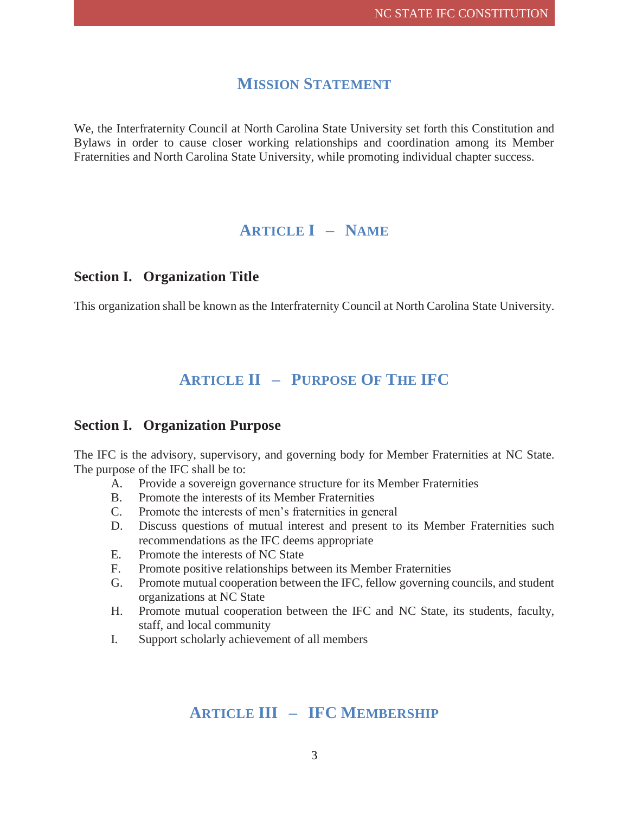# **MISSION STATEMENT**

<span id="page-3-0"></span>We, the Interfraternity Council at North Carolina State University set forth this Constitution and Bylaws in order to cause closer working relationships and coordination among its Member Fraternities and North Carolina State University, while promoting individual chapter success.

# **ARTICLE I – NAME**

#### <span id="page-3-2"></span><span id="page-3-1"></span>**Section I. Organization Title**

This organization shall be known as the Interfraternity Council at North Carolina State University.

# **ARTICLE II – PURPOSE OF THE IFC**

#### <span id="page-3-4"></span><span id="page-3-3"></span>**Section I. Organization Purpose**

The IFC is the advisory, supervisory, and governing body for Member Fraternities at NC State. The purpose of the IFC shall be to:

- A. Provide a sovereign governance structure for its Member Fraternities
- B. Promote the interests of its Member Fraternities
- C. Promote the interests of men's fraternities in general
- D. Discuss questions of mutual interest and present to its Member Fraternities such recommendations as the IFC deems appropriate
- E. Promote the interests of NC State
- F. Promote positive relationships between its Member Fraternities
- G. Promote mutual cooperation between the IFC, fellow governing councils, and student organizations at NC State
- H. Promote mutual cooperation between the IFC and NC State, its students, faculty, staff, and local community
- <span id="page-3-5"></span>I. Support scholarly achievement of all members

# **ARTICLE III – IFC MEMBERSHIP**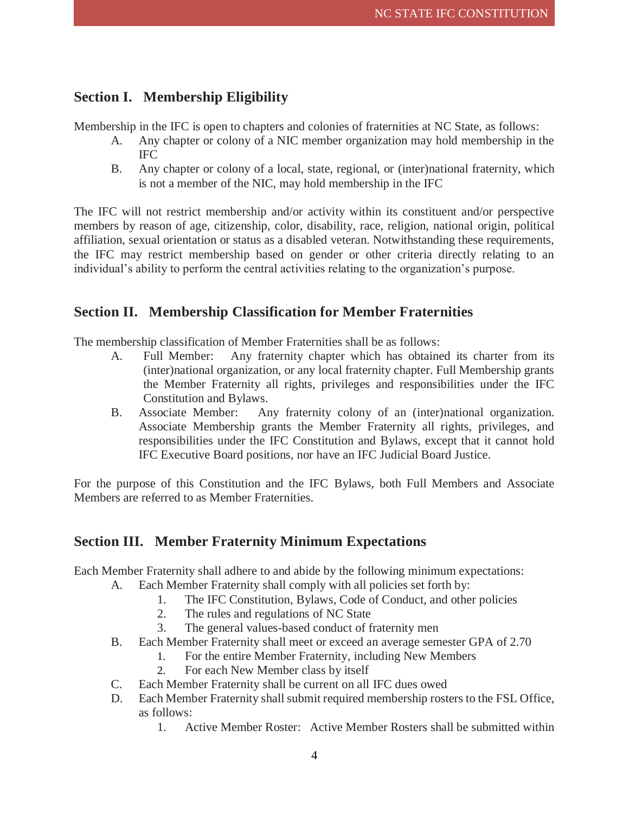#### <span id="page-4-0"></span>**Section I. Membership Eligibility**

Membership in the IFC is open to chapters and colonies of fraternities at NC State, as follows:

- A. Any chapter or colony of a NIC member organization may hold membership in the IFC
- B. Any chapter or colony of a local, state, regional, or (inter)national fraternity, which is not a member of the NIC, may hold membership in the IFC

The IFC will not restrict membership and/or activity within its constituent and/or perspective members by reason of age, citizenship, color, disability, race, religion, national origin, political affiliation, sexual orientation or status as a disabled veteran. Notwithstanding these requirements, the IFC may restrict membership based on gender or other criteria directly relating to an individual's ability to perform the central activities relating to the organization's purpose.

#### <span id="page-4-1"></span>**Section II. Membership Classification for Member Fraternities**

The membership classification of Member Fraternities shall be as follows:

- A. Full Member: Any fraternity chapter which has obtained its charter from its (inter)national organization, or any local fraternity chapter. Full Membership grants the Member Fraternity all rights, privileges and responsibilities under the IFC Constitution and Bylaws.
- B. Associate Member: Any fraternity colony of an (inter)national organization. Associate Membership grants the Member Fraternity all rights, privileges, and responsibilities under the IFC Constitution and Bylaws, except that it cannot hold IFC Executive Board positions, nor have an IFC Judicial Board Justice.

For the purpose of this Constitution and the IFC Bylaws, both Full Members and Associate Members are referred to as Member Fraternities.

#### <span id="page-4-2"></span>**Section III. Member Fraternity Minimum Expectations**

Each Member Fraternity shall adhere to and abide by the following minimum expectations:

- A. Each Member Fraternity shall comply with all policies set forth by:
	- 1. The IFC Constitution, Bylaws, Code of Conduct, and other policies<br>2. The rules and regulations of NC State
	- The rules and regulations of NC State
	- 3. The general values-based conduct of fraternity men
- B. Each Member Fraternity shall meet or exceed an average semester GPA of 2.70
	- 1. For the entire Member Fraternity, including New Members
		- 2. For each New Member class by itself
- C. Each Member Fraternity shall be current on all IFC dues owed
- D. Each Member Fraternity shall submit required membership rosters to the FSL Office, as follows:
	- 1. Active Member Roster: Active Member Rosters shall be submitted within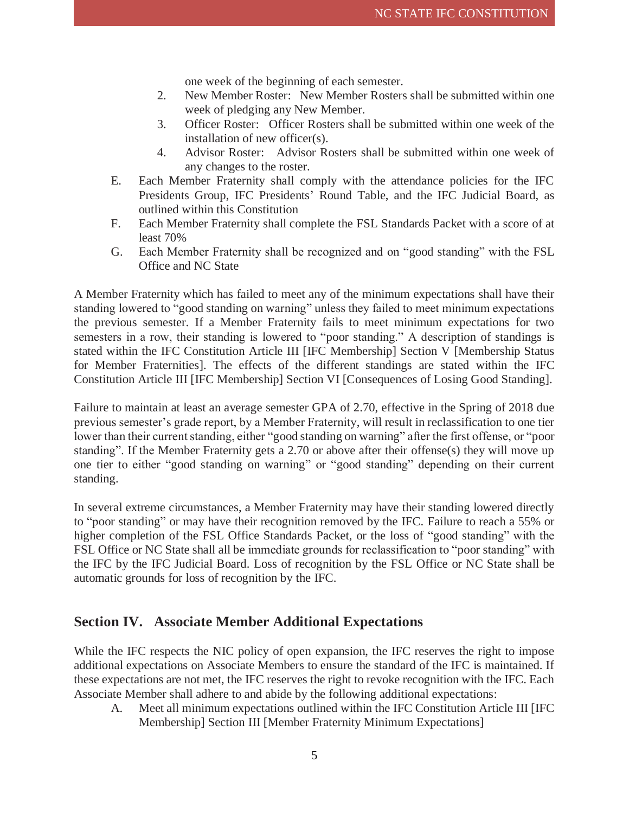one week of the beginning of each semester.

- 2. New Member Roster: New Member Rosters shall be submitted within one week of pledging any New Member.
- 3. Officer Roster: Officer Rosters shall be submitted within one week of the installation of new officer(s).
- 4. Advisor Roster: Advisor Rosters shall be submitted within one week of any changes to the roster.
- E. Each Member Fraternity shall comply with the attendance policies for the IFC Presidents Group, IFC Presidents' Round Table, and the IFC Judicial Board, as outlined within this Constitution
- F. Each Member Fraternity shall complete the FSL Standards Packet with a score of at least 70%
- G. Each Member Fraternity shall be recognized and on "good standing" with the FSL Office and NC State

A Member Fraternity which has failed to meet any of the minimum expectations shall have their standing lowered to "good standing on warning" unless they failed to meet minimum expectations the previous semester. If a Member Fraternity fails to meet minimum expectations for two semesters in a row, their standing is lowered to "poor standing." A description of standings is stated within the IFC Constitution Article III [IFC Membership] Section V [Membership Status for Member Fraternities]. The effects of the different standings are stated within the IFC Constitution Article III [IFC Membership] Section VI [Consequences of Losing Good Standing].

Failure to maintain at least an average semester GPA of 2.70, effective in the Spring of 2018 due previous semester's grade report, by a Member Fraternity, will result in reclassification to one tier lower than their current standing, either "good standing on warning" after the first offense, or "poor standing". If the Member Fraternity gets a 2.70 or above after their offense(s) they will move up one tier to either "good standing on warning" or "good standing" depending on their current standing.

In several extreme circumstances, a Member Fraternity may have their standing lowered directly to "poor standing" or may have their recognition removed by the IFC. Failure to reach a 55% or higher completion of the FSL Office Standards Packet, or the loss of "good standing" with the FSL Office or NC State shall all be immediate grounds for reclassification to "poor standing" with the IFC by the IFC Judicial Board. Loss of recognition by the FSL Office or NC State shall be automatic grounds for loss of recognition by the IFC.

#### <span id="page-5-0"></span>**Section IV. Associate Member Additional Expectations**

While the IFC respects the NIC policy of open expansion, the IFC reserves the right to impose additional expectations on Associate Members to ensure the standard of the IFC is maintained. If these expectations are not met, the IFC reserves the right to revoke recognition with the IFC. Each Associate Member shall adhere to and abide by the following additional expectations:

A. Meet all minimum expectations outlined within the IFC Constitution Article III [IFC Membership] Section III [Member Fraternity Minimum Expectations]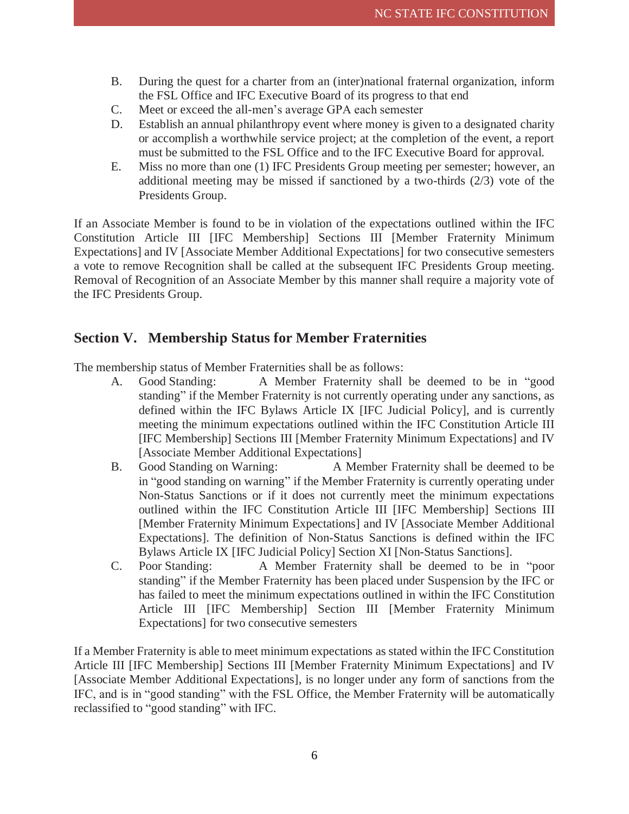- B. During the quest for a charter from an (inter)national fraternal organization, inform the FSL Office and IFC Executive Board of its progress to that end
- C. Meet or exceed the all-men's average GPA each semester
- D. Establish an annual philanthropy event where money is given to a designated charity or accomplish a worthwhile service project; at the completion of the event, a report must be submitted to the FSL Office and to the IFC Executive Board for approval.
- E. Miss no more than one (1) IFC Presidents Group meeting per semester; however, an additional meeting may be missed if sanctioned by a two-thirds (2/3) vote of the Presidents Group.

If an Associate Member is found to be in violation of the expectations outlined within the IFC Constitution Article III [IFC Membership] Sections III [Member Fraternity Minimum Expectations] and IV [Associate Member Additional Expectations] for two consecutive semesters a vote to remove Recognition shall be called at the subsequent IFC Presidents Group meeting. Removal of Recognition of an Associate Member by this manner shall require a majority vote of the IFC Presidents Group.

#### <span id="page-6-0"></span>**Section V. Membership Status for Member Fraternities**

The membership status of Member Fraternities shall be as follows:

- A. Good Standing: A Member Fraternity shall be deemed to be in "good standing" if the Member Fraternity is not currently operating under any sanctions, as defined within the IFC Bylaws Article IX [IFC Judicial Policy], and is currently meeting the minimum expectations outlined within the IFC Constitution Article III [IFC Membership] Sections III [Member Fraternity Minimum Expectations] and IV [Associate Member Additional Expectations]
- B. Good Standing on Warning: A Member Fraternity shall be deemed to be in "good standing on warning" if the Member Fraternity is currently operating under Non-Status Sanctions or if it does not currently meet the minimum expectations outlined within the IFC Constitution Article III [IFC Membership] Sections III [Member Fraternity Minimum Expectations] and IV [Associate Member Additional Expectations]. The definition of Non-Status Sanctions is defined within the IFC Bylaws Article IX [IFC Judicial Policy] Section XI [Non-Status Sanctions].
- C. Poor Standing: A Member Fraternity shall be deemed to be in "poor standing" if the Member Fraternity has been placed under Suspension by the IFC or has failed to meet the minimum expectations outlined in within the IFC Constitution Article III [IFC Membership] Section III [Member Fraternity Minimum Expectations] for two consecutive semesters

If a Member Fraternity is able to meet minimum expectations as stated within the IFC Constitution Article III [IFC Membership] Sections III [Member Fraternity Minimum Expectations] and IV [Associate Member Additional Expectations], is no longer under any form of sanctions from the IFC, and is in "good standing" with the FSL Office, the Member Fraternity will be automatically reclassified to "good standing" with IFC.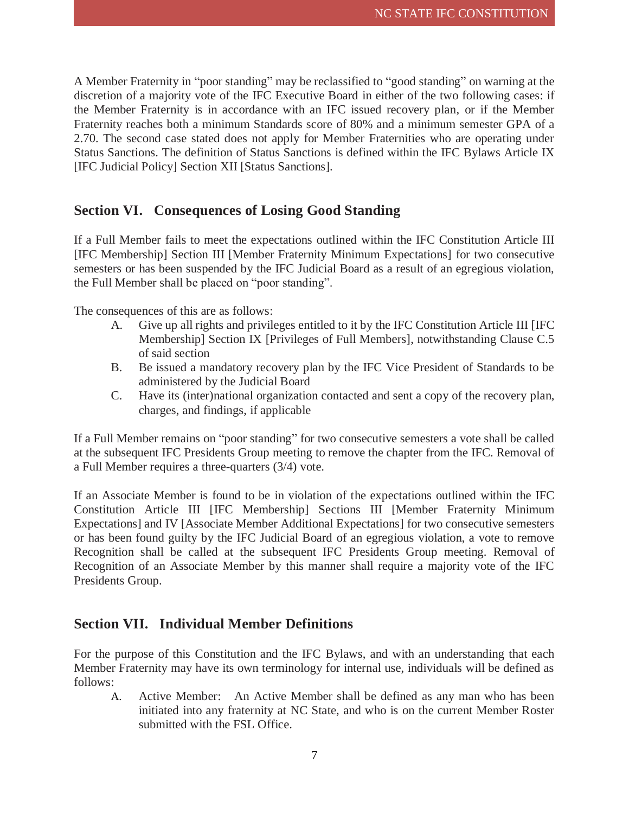A Member Fraternity in "poor standing" may be reclassified to "good standing" on warning at the discretion of a majority vote of the IFC Executive Board in either of the two following cases: if the Member Fraternity is in accordance with an IFC issued recovery plan, or if the Member Fraternity reaches both a minimum Standards score of 80% and a minimum semester GPA of a 2.70. The second case stated does not apply for Member Fraternities who are operating under Status Sanctions. The definition of Status Sanctions is defined within the IFC Bylaws Article IX [IFC Judicial Policy] Section XII [Status Sanctions].

#### <span id="page-7-0"></span>**Section VI. Consequences of Losing Good Standing**

If a Full Member fails to meet the expectations outlined within the IFC Constitution Article III [IFC Membership] Section III [Member Fraternity Minimum Expectations] for two consecutive semesters or has been suspended by the IFC Judicial Board as a result of an egregious violation, the Full Member shall be placed on "poor standing".

The consequences of this are as follows:

- A. Give up all rights and privileges entitled to it by the IFC Constitution Article III [IFC Membership] Section IX [Privileges of Full Members], notwithstanding Clause C.5 of said section
- B. Be issued a mandatory recovery plan by the IFC Vice President of Standards to be administered by the Judicial Board
- C. Have its (inter)national organization contacted and sent a copy of the recovery plan, charges, and findings, if applicable

If a Full Member remains on "poor standing" for two consecutive semesters a vote shall be called at the subsequent IFC Presidents Group meeting to remove the chapter from the IFC. Removal of a Full Member requires a three-quarters (3/4) vote.

If an Associate Member is found to be in violation of the expectations outlined within the IFC Constitution Article III [IFC Membership] Sections III [Member Fraternity Minimum Expectations] and IV [Associate Member Additional Expectations] for two consecutive semesters or has been found guilty by the IFC Judicial Board of an egregious violation, a vote to remove Recognition shall be called at the subsequent IFC Presidents Group meeting. Removal of Recognition of an Associate Member by this manner shall require a majority vote of the IFC Presidents Group.

#### <span id="page-7-1"></span>**Section VII. Individual Member Definitions**

For the purpose of this Constitution and the IFC Bylaws, and with an understanding that each Member Fraternity may have its own terminology for internal use, individuals will be defined as follows:

A. Active Member: An Active Member shall be defined as any man who has been initiated into any fraternity at NC State, and who is on the current Member Roster submitted with the FSL Office.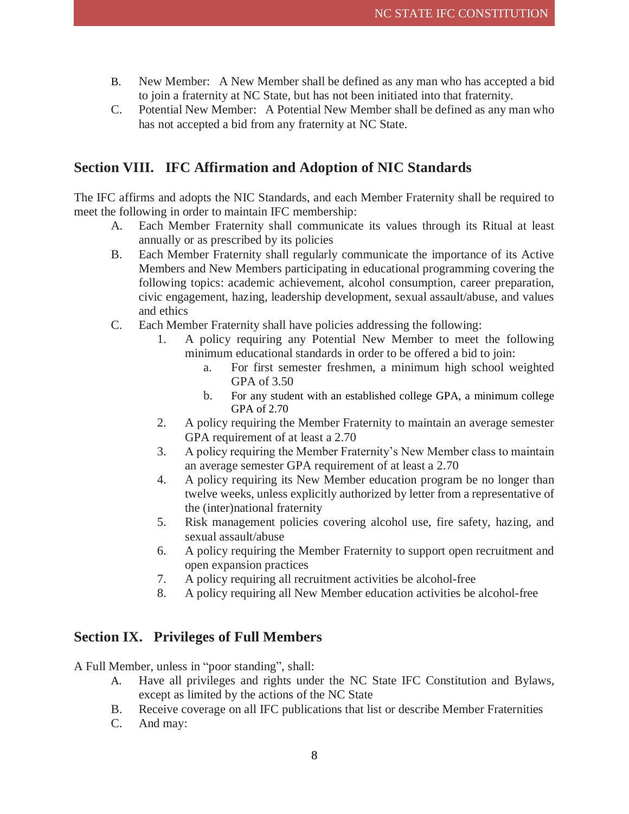- B. New Member: A New Member shall be defined as any man who has accepted a bid to join a fraternity at NC State, but has not been initiated into that fraternity.
- C. Potential New Member: A Potential New Member shall be defined as any man who has not accepted a bid from any fraternity at NC State.

#### <span id="page-8-0"></span>**Section VIII. IFC Affirmation and Adoption of NIC Standards**

The IFC affirms and adopts the NIC Standards, and each Member Fraternity shall be required to meet the following in order to maintain IFC membership:

- A. Each Member Fraternity shall communicate its values through its Ritual at least annually or as prescribed by its policies
- B. Each Member Fraternity shall regularly communicate the importance of its Active Members and New Members participating in educational programming covering the following topics: academic achievement, alcohol consumption, career preparation, civic engagement, hazing, leadership development, sexual assault/abuse, and values and ethics
- C. Each Member Fraternity shall have policies addressing the following:
	- 1. A policy requiring any Potential New Member to meet the following minimum educational standards in order to be offered a bid to join:
		- a. For first semester freshmen, a minimum high school weighted GPA of 3.50
		- b. For any student with an established college GPA, a minimum college GPA of 2.70
	- 2. A policy requiring the Member Fraternity to maintain an average semester GPA requirement of at least a 2.70
	- 3. A policy requiring the Member Fraternity's New Member class to maintain an average semester GPA requirement of at least a 2.70
	- 4. A policy requiring its New Member education program be no longer than twelve weeks, unless explicitly authorized by letter from a representative of the (inter)national fraternity
	- 5. Risk management policies covering alcohol use, fire safety, hazing, and sexual assault/abuse
	- 6. A policy requiring the Member Fraternity to support open recruitment and open expansion practices
	- 7. A policy requiring all recruitment activities be alcohol-free
	- 8. A policy requiring all New Member education activities be alcohol-free

#### <span id="page-8-1"></span>**Section IX. Privileges of Full Members**

A Full Member, unless in "poor standing", shall:

- A. Have all privileges and rights under the NC State IFC Constitution and Bylaws, except as limited by the actions of the NC State
- B. Receive coverage on all IFC publications that list or describe Member Fraternities
- C. And may: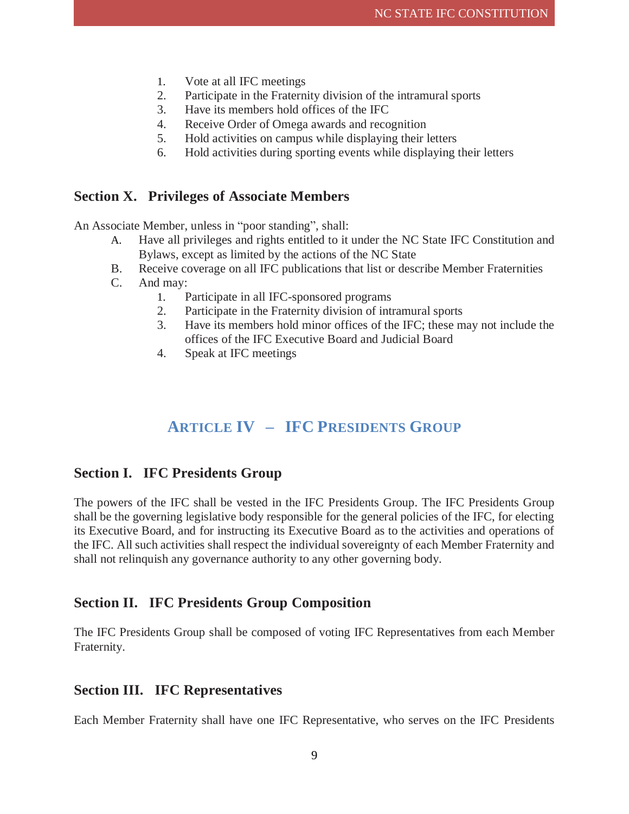- 1. Vote at all IFC meetings
- 2. Participate in the Fraternity division of the intramural sports
- 3. Have its members hold offices of the IFC
- 4. Receive Order of Omega awards and recognition
- 5. Hold activities on campus while displaying their letters
- 6. Hold activities during sporting events while displaying their letters

#### <span id="page-9-0"></span>**Section X. Privileges of Associate Members**

An Associate Member, unless in "poor standing", shall:

- A. Have all privileges and rights entitled to it under the NC State IFC Constitution and Bylaws, except as limited by the actions of the NC State
- B. Receive coverage on all IFC publications that list or describe Member Fraternities
- C. And may:
	- 1. Participate in all IFC-sponsored programs
	- 2. Participate in the Fraternity division of intramural sports
	- 3. Have its members hold minor offices of the IFC; these may not include the offices of the IFC Executive Board and Judicial Board
	- 4. Speak at IFC meetings

# **ARTICLE IV – IFC PRESIDENTS GROUP**

#### <span id="page-9-2"></span><span id="page-9-1"></span>**Section I. IFC Presidents Group**

The powers of the IFC shall be vested in the IFC Presidents Group. The IFC Presidents Group shall be the governing legislative body responsible for the general policies of the IFC, for electing its Executive Board, and for instructing its Executive Board as to the activities and operations of the IFC. All such activities shall respect the individual sovereignty of each Member Fraternity and shall not relinquish any governance authority to any other governing body.

#### <span id="page-9-3"></span>**Section II. IFC Presidents Group Composition**

The IFC Presidents Group shall be composed of voting IFC Representatives from each Member Fraternity.

#### <span id="page-9-4"></span>**Section III. IFC Representatives**

Each Member Fraternity shall have one IFC Representative, who serves on the IFC Presidents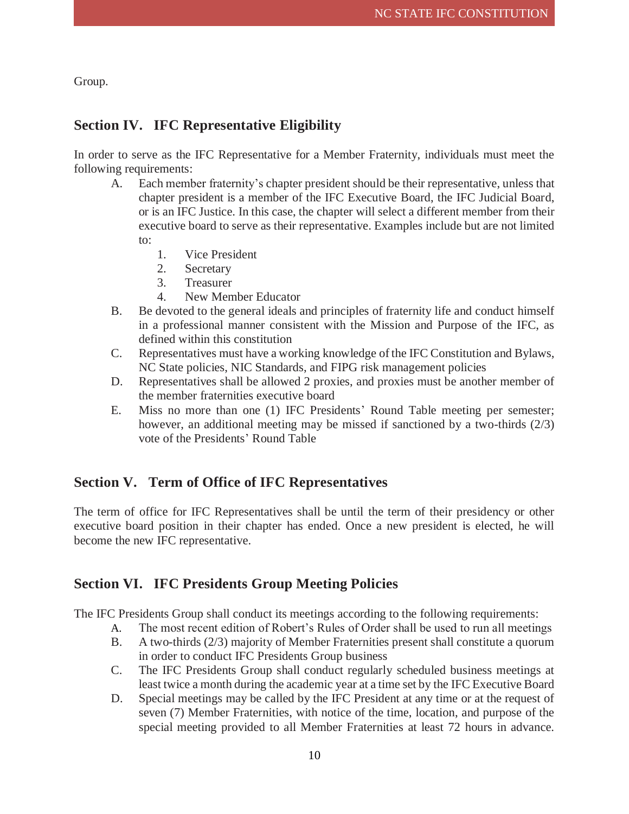Group.

# <span id="page-10-0"></span>**Section IV. IFC Representative Eligibility**

In order to serve as the IFC Representative for a Member Fraternity, individuals must meet the following requirements:

- A. Each member fraternity's chapter president should be their representative, unless that chapter president is a member of the IFC Executive Board, the IFC Judicial Board, or is an IFC Justice. In this case, the chapter will select a different member from their executive board to serve as their representative. Examples include but are not limited to:
	- 1. Vice President
	- 2. Secretary
	- 3. Treasurer
	- 4. New Member Educator
- B. Be devoted to the general ideals and principles of fraternity life and conduct himself in a professional manner consistent with the Mission and Purpose of the IFC, as defined within this constitution
- C. Representatives must have a working knowledge of the IFC Constitution and Bylaws, NC State policies, NIC Standards, and FIPG risk management policies
- D. Representatives shall be allowed 2 proxies, and proxies must be another member of the member fraternities executive board
- E. Miss no more than one (1) IFC Presidents' Round Table meeting per semester; however, an additional meeting may be missed if sanctioned by a two-thirds (2/3) vote of the Presidents' Round Table

# <span id="page-10-1"></span>**Section V. Term of Office of IFC Representatives**

The term of office for IFC Representatives shall be until the term of their presidency or other executive board position in their chapter has ended. Once a new president is elected, he will become the new IFC representative.

#### <span id="page-10-2"></span>**Section VI. IFC Presidents Group Meeting Policies**

The IFC Presidents Group shall conduct its meetings according to the following requirements:

- A. The most recent edition of Robert's Rules of Order shall be used to run all meetings
- B. A two-thirds (2/3) majority of Member Fraternities present shall constitute a quorum in order to conduct IFC Presidents Group business
- C. The IFC Presidents Group shall conduct regularly scheduled business meetings at least twice a month during the academic year at a time set by the IFC Executive Board
- D. Special meetings may be called by the IFC President at any time or at the request of seven (7) Member Fraternities, with notice of the time, location, and purpose of the special meeting provided to all Member Fraternities at least 72 hours in advance.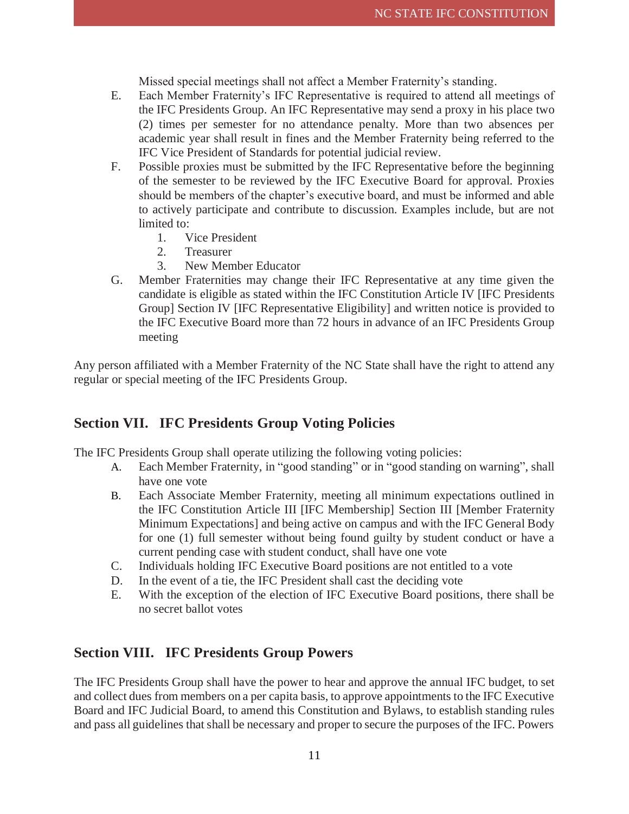Missed special meetings shall not affect a Member Fraternity's standing.

- E. Each Member Fraternity's IFC Representative is required to attend all meetings of the IFC Presidents Group. An IFC Representative may send a proxy in his place two (2) times per semester for no attendance penalty. More than two absences per academic year shall result in fines and the Member Fraternity being referred to the IFC Vice President of Standards for potential judicial review.
- F. Possible proxies must be submitted by the IFC Representative before the beginning of the semester to be reviewed by the IFC Executive Board for approval. Proxies should be members of the chapter's executive board, and must be informed and able to actively participate and contribute to discussion. Examples include, but are not limited to:
	- 1. Vice President
	- 2. Treasurer
	- 3. New Member Educator
- G. Member Fraternities may change their IFC Representative at any time given the candidate is eligible as stated within the IFC Constitution Article IV [IFC Presidents Group] Section IV [IFC Representative Eligibility] and written notice is provided to the IFC Executive Board more than 72 hours in advance of an IFC Presidents Group meeting

Any person affiliated with a Member Fraternity of the NC State shall have the right to attend any regular or special meeting of the IFC Presidents Group.

#### <span id="page-11-0"></span>**Section VII. IFC Presidents Group Voting Policies**

The IFC Presidents Group shall operate utilizing the following voting policies:

- A. Each Member Fraternity, in "good standing" or in "good standing on warning", shall have one vote
- B. Each Associate Member Fraternity, meeting all minimum expectations outlined in the IFC Constitution Article III [IFC Membership] Section III [Member Fraternity Minimum Expectations] and being active on campus and with the IFC General Body for one (1) full semester without being found guilty by student conduct or have a current pending case with student conduct, shall have one vote
- C. Individuals holding IFC Executive Board positions are not entitled to a vote
- D. In the event of a tie, the IFC President shall cast the deciding vote
- E. With the exception of the election of IFC Executive Board positions, there shall be no secret ballot votes

#### <span id="page-11-1"></span>**Section VIII. IFC Presidents Group Powers**

The IFC Presidents Group shall have the power to hear and approve the annual IFC budget, to set and collect dues from members on a per capita basis, to approve appointments to the IFC Executive Board and IFC Judicial Board, to amend this Constitution and Bylaws, to establish standing rules and pass all guidelines that shall be necessary and proper to secure the purposes of the IFC. Powers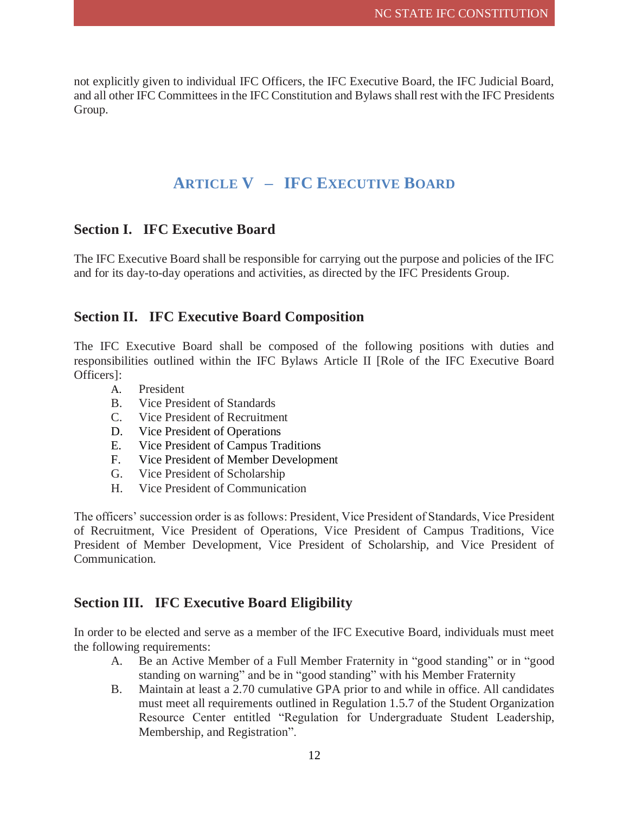not explicitly given to individual IFC Officers, the IFC Executive Board, the IFC Judicial Board, and all other IFC Committees in the IFC Constitution and Bylaws shall rest with the IFC Presidents Group.

# **ARTICLE V – IFC EXECUTIVE BOARD**

#### <span id="page-12-1"></span><span id="page-12-0"></span>**Section I. IFC Executive Board**

The IFC Executive Board shall be responsible for carrying out the purpose and policies of the IFC and for its day-to-day operations and activities, as directed by the IFC Presidents Group.

#### <span id="page-12-2"></span>**Section II. IFC Executive Board Composition**

The IFC Executive Board shall be composed of the following positions with duties and responsibilities outlined within the IFC Bylaws Article II [Role of the IFC Executive Board Officers]:

- A. President
- B. Vice President of Standards
- C. Vice President of Recruitment
- D. Vice President of Operations
- E. Vice President of Campus Traditions
- F. Vice President of Member Development
- G. Vice President of Scholarship
- H. Vice President of Communication

The officers' succession order is as follows: President, Vice President of Standards, Vice President of Recruitment, Vice President of Operations, Vice President of Campus Traditions, Vice President of Member Development, Vice President of Scholarship, and Vice President of Communication.

#### <span id="page-12-3"></span>**Section III. IFC Executive Board Eligibility**

In order to be elected and serve as a member of the IFC Executive Board, individuals must meet the following requirements:

- A. Be an Active Member of a Full Member Fraternity in "good standing" or in "good standing on warning" and be in "good standing" with his Member Fraternity
- B. Maintain at least a 2.70 cumulative GPA prior to and while in office. All candidates must meet all requirements outlined in Regulation 1.5.7 of the Student Organization Resource Center entitled "Regulation for Undergraduate Student Leadership, Membership, and Registration".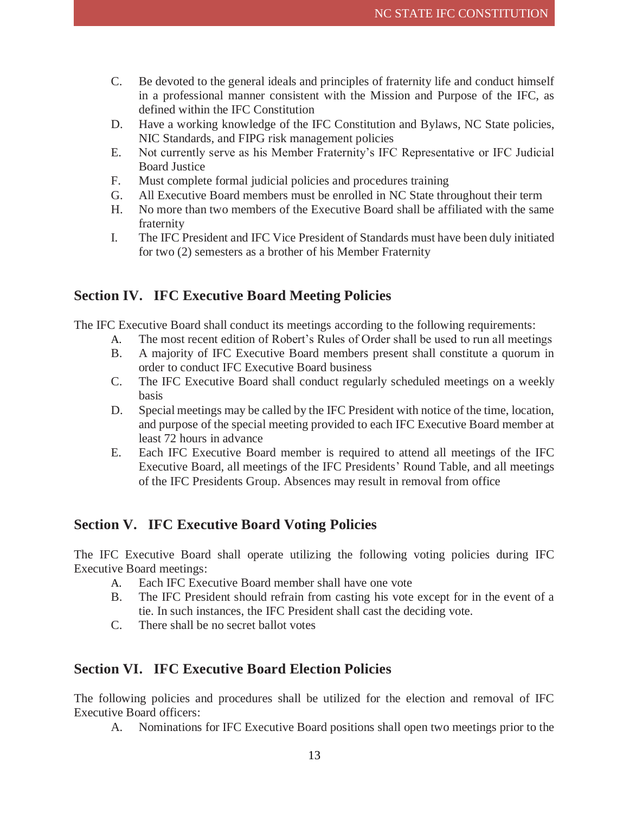- C. Be devoted to the general ideals and principles of fraternity life and conduct himself in a professional manner consistent with the Mission and Purpose of the IFC, as defined within the IFC Constitution
- D. Have a working knowledge of the IFC Constitution and Bylaws, NC State policies, NIC Standards, and FIPG risk management policies
- E. Not currently serve as his Member Fraternity's IFC Representative or IFC Judicial Board Justice
- F. Must complete formal judicial policies and procedures training
- G. All Executive Board members must be enrolled in NC State throughout their term
- H. No more than two members of the Executive Board shall be affiliated with the same fraternity
- I. The IFC President and IFC Vice President of Standards must have been duly initiated for two (2) semesters as a brother of his Member Fraternity

#### <span id="page-13-0"></span>**Section IV. IFC Executive Board Meeting Policies**

The IFC Executive Board shall conduct its meetings according to the following requirements:

- A. The most recent edition of Robert's Rules of Order shall be used to run all meetings
- B. A majority of IFC Executive Board members present shall constitute a quorum in order to conduct IFC Executive Board business
- C. The IFC Executive Board shall conduct regularly scheduled meetings on a weekly basis
- D. Special meetings may be called by the IFC President with notice of the time, location, and purpose of the special meeting provided to each IFC Executive Board member at least 72 hours in advance
- E. Each IFC Executive Board member is required to attend all meetings of the IFC Executive Board, all meetings of the IFC Presidents' Round Table, and all meetings of the IFC Presidents Group. Absences may result in removal from office

#### <span id="page-13-1"></span>**Section V. IFC Executive Board Voting Policies**

The IFC Executive Board shall operate utilizing the following voting policies during IFC Executive Board meetings:

- A. Each IFC Executive Board member shall have one vote
- B. The IFC President should refrain from casting his vote except for in the event of a tie. In such instances, the IFC President shall cast the deciding vote.
- C. There shall be no secret ballot votes

#### <span id="page-13-2"></span>**Section VI. IFC Executive Board Election Policies**

The following policies and procedures shall be utilized for the election and removal of IFC Executive Board officers:

A. Nominations for IFC Executive Board positions shall open two meetings prior to the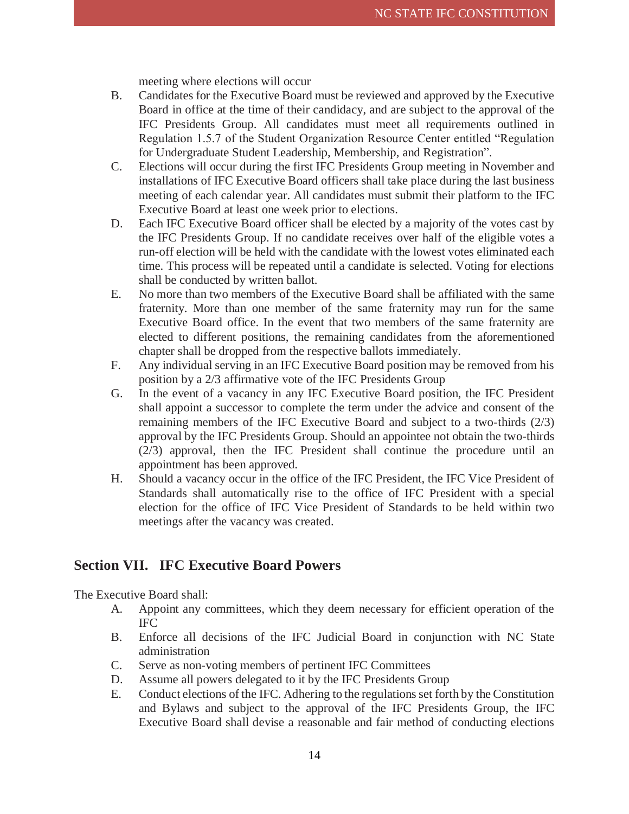meeting where elections will occur

- B. Candidates for the Executive Board must be reviewed and approved by the Executive Board in office at the time of their candidacy, and are subject to the approval of the IFC Presidents Group. All candidates must meet all requirements outlined in Regulation 1.5.7 of the Student Organization Resource Center entitled "Regulation for Undergraduate Student Leadership, Membership, and Registration".
- C. Elections will occur during the first IFC Presidents Group meeting in November and installations of IFC Executive Board officers shall take place during the last business meeting of each calendar year. All candidates must submit their platform to the IFC Executive Board at least one week prior to elections.
- D. Each IFC Executive Board officer shall be elected by a majority of the votes cast by the IFC Presidents Group. If no candidate receives over half of the eligible votes a run-off election will be held with the candidate with the lowest votes eliminated each time. This process will be repeated until a candidate is selected. Voting for elections shall be conducted by written ballot.
- E. No more than two members of the Executive Board shall be affiliated with the same fraternity. More than one member of the same fraternity may run for the same Executive Board office. In the event that two members of the same fraternity are elected to different positions, the remaining candidates from the aforementioned chapter shall be dropped from the respective ballots immediately.
- F. Any individual serving in an IFC Executive Board position may be removed from his position by a 2/3 affirmative vote of the IFC Presidents Group
- G. In the event of a vacancy in any IFC Executive Board position, the IFC President shall appoint a successor to complete the term under the advice and consent of the remaining members of the IFC Executive Board and subject to a two-thirds (2/3) approval by the IFC Presidents Group. Should an appointee not obtain the two-thirds (2/3) approval, then the IFC President shall continue the procedure until an appointment has been approved.
- H. Should a vacancy occur in the office of the IFC President, the IFC Vice President of Standards shall automatically rise to the office of IFC President with a special election for the office of IFC Vice President of Standards to be held within two meetings after the vacancy was created.

#### <span id="page-14-0"></span>**Section VII. IFC Executive Board Powers**

The Executive Board shall:

- A. Appoint any committees, which they deem necessary for efficient operation of the IFC
- B. Enforce all decisions of the IFC Judicial Board in conjunction with NC State administration
- C. Serve as non-voting members of pertinent IFC Committees
- D. Assume all powers delegated to it by the IFC Presidents Group
- E. Conduct elections of the IFC. Adhering to the regulations set forth by the Constitution and Bylaws and subject to the approval of the IFC Presidents Group, the IFC Executive Board shall devise a reasonable and fair method of conducting elections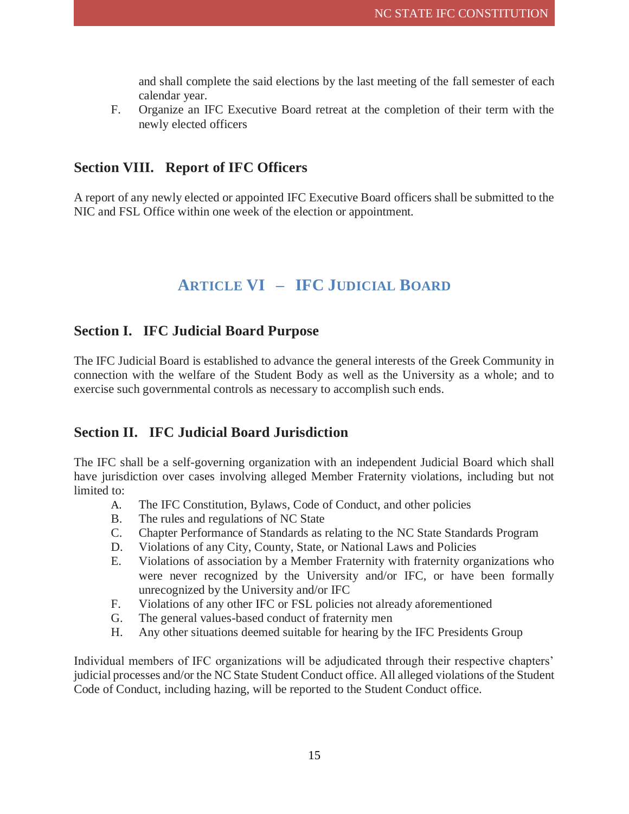and shall complete the said elections by the last meeting of the fall semester of each calendar year.

F. Organize an IFC Executive Board retreat at the completion of their term with the newly elected officers

#### <span id="page-15-0"></span>**Section VIII. Report of IFC Officers**

A report of any newly elected or appointed IFC Executive Board officers shall be submitted to the NIC and FSL Office within one week of the election or appointment.

# **ARTICLE VI – IFC JUDICIAL BOARD**

#### <span id="page-15-2"></span><span id="page-15-1"></span>**Section I. IFC Judicial Board Purpose**

The IFC Judicial Board is established to advance the general interests of the Greek Community in connection with the welfare of the Student Body as well as the University as a whole; and to exercise such governmental controls as necessary to accomplish such ends.

#### <span id="page-15-3"></span>**Section II. IFC Judicial Board Jurisdiction**

The IFC shall be a self-governing organization with an independent Judicial Board which shall have jurisdiction over cases involving alleged Member Fraternity violations, including but not limited to:

- A. The IFC Constitution, Bylaws, Code of Conduct, and other policies
- B. The rules and regulations of NC State
- C. Chapter Performance of Standards as relating to the NC State Standards Program
- D. Violations of any City, County, State, or National Laws and Policies
- E. Violations of association by a Member Fraternity with fraternity organizations who were never recognized by the University and/or IFC, or have been formally unrecognized by the University and/or IFC
- F. Violations of any other IFC or FSL policies not already aforementioned
- G. The general values-based conduct of fraternity men
- H. Any other situations deemed suitable for hearing by the IFC Presidents Group

Individual members of IFC organizations will be adjudicated through their respective chapters' judicial processes and/or the NC State Student Conduct office. All alleged violations of the Student Code of Conduct, including hazing, will be reported to the Student Conduct office.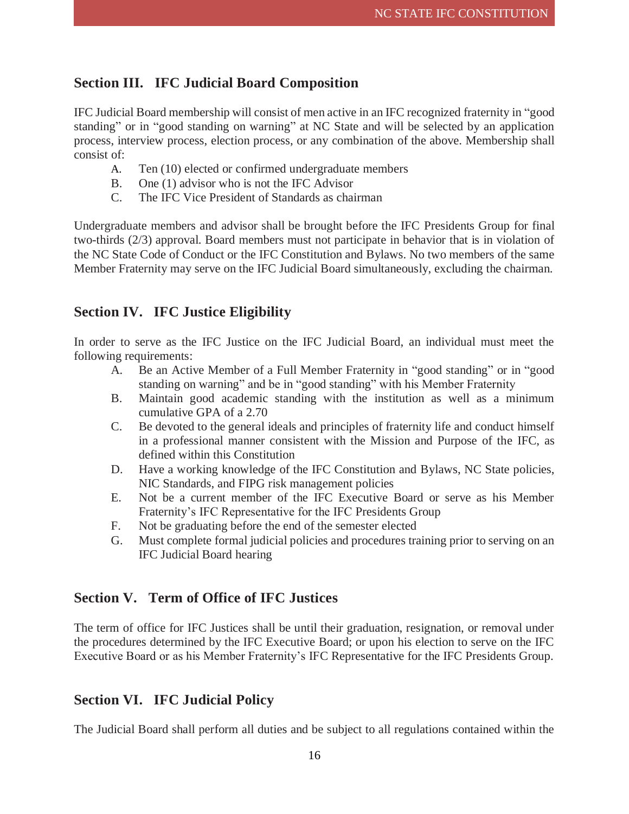#### <span id="page-16-0"></span>**Section III. IFC Judicial Board Composition**

IFC Judicial Board membership will consist of men active in an IFC recognized fraternity in "good standing" or in "good standing on warning" at NC State and will be selected by an application process, interview process, election process, or any combination of the above. Membership shall consist of:

- A. Ten (10) elected or confirmed undergraduate members
- B. One (1) advisor who is not the IFC Advisor
- C. The IFC Vice President of Standards as chairman

Undergraduate members and advisor shall be brought before the IFC Presidents Group for final two-thirds (2/3) approval. Board members must not participate in behavior that is in violation of the NC State Code of Conduct or the IFC Constitution and Bylaws. No two members of the same Member Fraternity may serve on the IFC Judicial Board simultaneously, excluding the chairman.

#### <span id="page-16-1"></span>**Section IV. IFC Justice Eligibility**

In order to serve as the IFC Justice on the IFC Judicial Board, an individual must meet the following requirements:

- A. Be an Active Member of a Full Member Fraternity in "good standing" or in "good standing on warning" and be in "good standing" with his Member Fraternity
- B. Maintain good academic standing with the institution as well as a minimum cumulative GPA of a 2.70
- C. Be devoted to the general ideals and principles of fraternity life and conduct himself in a professional manner consistent with the Mission and Purpose of the IFC, as defined within this Constitution
- D. Have a working knowledge of the IFC Constitution and Bylaws, NC State policies, NIC Standards, and FIPG risk management policies
- E. Not be a current member of the IFC Executive Board or serve as his Member Fraternity's IFC Representative for the IFC Presidents Group
- F. Not be graduating before the end of the semester elected
- G. Must complete formal judicial policies and procedures training prior to serving on an IFC Judicial Board hearing

#### <span id="page-16-2"></span>**Section V. Term of Office of IFC Justices**

The term of office for IFC Justices shall be until their graduation, resignation, or removal under the procedures determined by the IFC Executive Board; or upon his election to serve on the IFC Executive Board or as his Member Fraternity's IFC Representative for the IFC Presidents Group.

# <span id="page-16-3"></span>**Section VI. IFC Judicial Policy**

The Judicial Board shall perform all duties and be subject to all regulations contained within the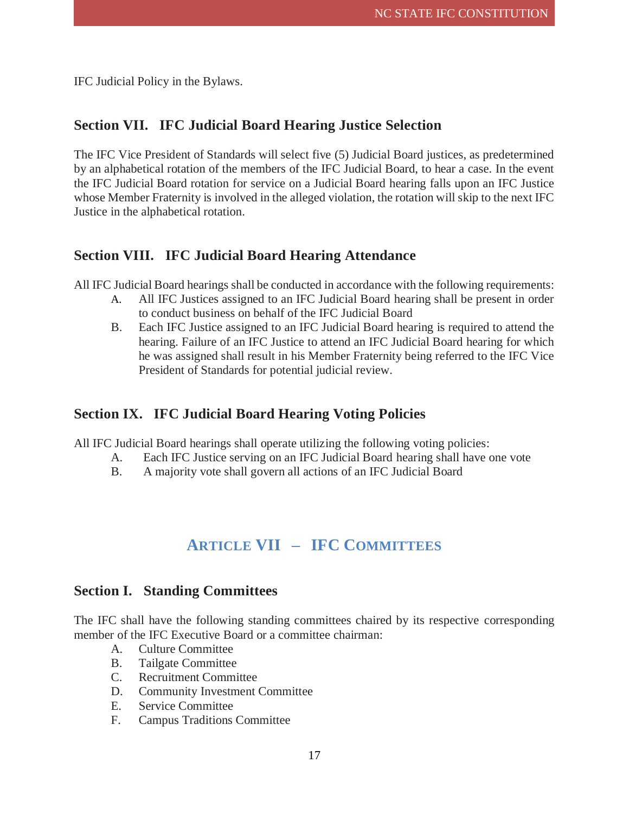IFC Judicial Policy in the Bylaws.

#### <span id="page-17-0"></span>**Section VII. IFC Judicial Board Hearing Justice Selection**

The IFC Vice President of Standards will select five (5) Judicial Board justices, as predetermined by an alphabetical rotation of the members of the IFC Judicial Board, to hear a case. In the event the IFC Judicial Board rotation for service on a Judicial Board hearing falls upon an IFC Justice whose Member Fraternity is involved in the alleged violation, the rotation will skip to the next IFC Justice in the alphabetical rotation.

#### <span id="page-17-1"></span>**Section VIII. IFC Judicial Board Hearing Attendance**

All IFC Judicial Board hearings shall be conducted in accordance with the following requirements:

- A. All IFC Justices assigned to an IFC Judicial Board hearing shall be present in order to conduct business on behalf of the IFC Judicial Board
- B. Each IFC Justice assigned to an IFC Judicial Board hearing is required to attend the hearing. Failure of an IFC Justice to attend an IFC Judicial Board hearing for which he was assigned shall result in his Member Fraternity being referred to the IFC Vice President of Standards for potential judicial review.

#### <span id="page-17-2"></span>**Section IX. IFC Judicial Board Hearing Voting Policies**

All IFC Judicial Board hearings shall operate utilizing the following voting policies:

- A. Each IFC Justice serving on an IFC Judicial Board hearing shall have one vote
- B. A majority vote shall govern all actions of an IFC Judicial Board

# **ARTICLE VII – IFC COMMITTEES**

#### <span id="page-17-4"></span><span id="page-17-3"></span>**Section I. Standing Committees**

The IFC shall have the following standing committees chaired by its respective corresponding member of the IFC Executive Board or a committee chairman:

- A. Culture Committee
- B. Tailgate Committee
- C. Recruitment Committee
- D. Community Investment Committee
- E. Service Committee
- F. Campus Traditions Committee